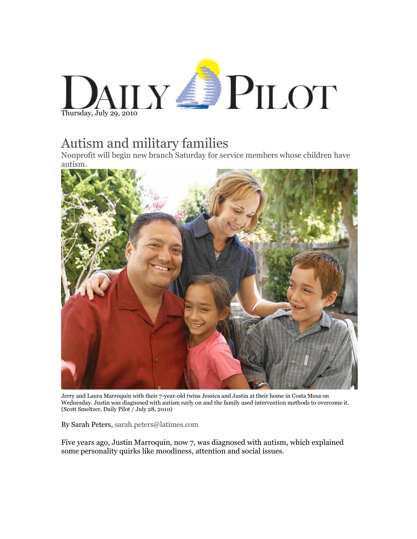## DAILY **PILOT**

## Autism and military families

Nonprofit will begin new branch Saturday for service members whose children have autism.



Jerry and Laura Marroquin with their 7-year-old twins Jessica and Justin at their home in Costa Mesa on Wednesday. Justin was diagnosed with autism early on and the family used intervention methods to overcome it. (Scott Smeltzer, Daily Pilot / July 28, 2010)

By Sarah Peters, [sarah.peters@latimes.com](mailto:sarah.peters@latimes.com)

Five years ago, Justin Marroquin, now 7, was diagnosed with autism, which explained some personality quirks like moodiness, attention and social issues.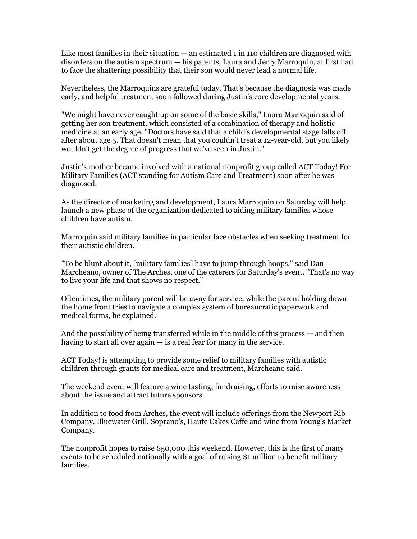Like most families in their situation — an estimated 1 in 110 children are diagnosed with disorders on the autism spectrum — his parents, Laura and Jerry Marroquin, at first had to face the shattering possibility that their son would never lead a normal life.

Nevertheless, the Marroquins are grateful today. That's because the diagnosis was made early, and helpful treatment soon followed during Justin's core developmental years.

"We might have never caught up on some of the basic skills," Laura Marroquin said of getting her son treatment, which consisted of a combination of therapy and holistic medicine at an early age. "Doctors have said that a child's developmental stage falls off after about age 5. That doesn't mean that you couldn't treat a 12-year-old, but you likely wouldn't get the degree of progress that we've seen in Justin."

Justin's mother became involved with a national nonprofit group called ACT Today! For Military Families (ACT standing for Autism Care and Treatment) soon after he was diagnosed.

As the director of marketing and development, Laura Marroquin on Saturday will help launch a new phase of the organization dedicated to aiding military families whose children have autism.

Marroquin said military families in particular face obstacles when seeking treatment for their autistic children.

"To be blunt about it, [military families] have to jump through hoops," said Dan Marcheano, owner of The Arches, one of the caterers for Saturday's event. "That's no way to live your life and that shows no respect."

Oftentimes, the military parent will be away for service, while the parent holding down the home front tries to navigate a complex system of bureaucratic paperwork and medical forms, he explained.

And the possibility of being transferred while in the middle of this process — and then having to start all over again — is a real fear for many in the service.

ACT Today! is attempting to provide some relief to military families with autistic children through grants for medical care and treatment, Marcheano said.

The weekend event will feature a wine tasting, fundraising, efforts to raise awareness about the issue and attract future sponsors.

In addition to food from Arches, the event will include offerings from the Newport Rib Company, Bluewater Grill, Soprano's, Haute Cakes Caffe and wine from Young's Market Company.

The nonprofit hopes to raise \$50,000 this weekend. However, this is the first of many events to be scheduled nationally with a goal of raising \$1 million to benefit military families.